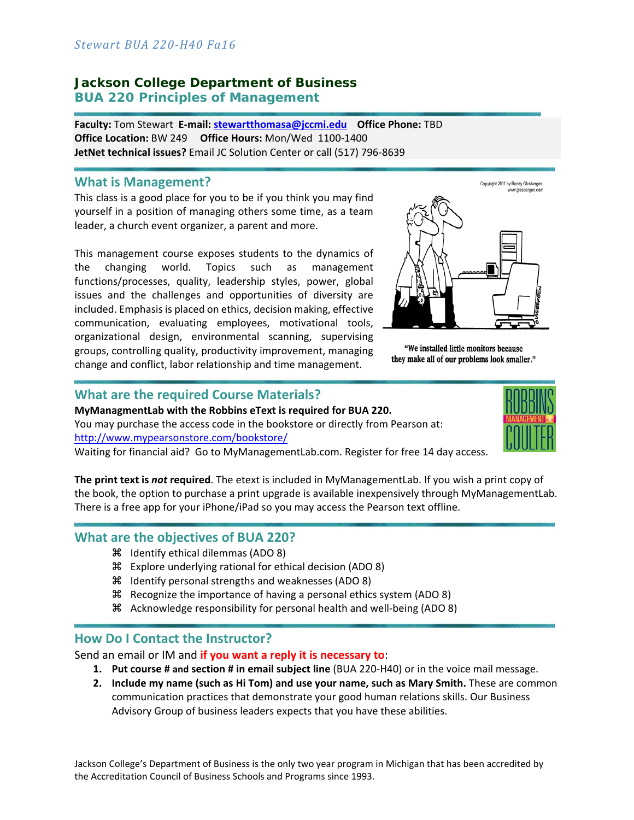# **Jackson College Department of Business BUA 220 Principles of Management**

**Faculty:** Tom Stewart **E‐mail: stewartthomasa@jccmi.edu Office Phone:** TBD **Office Location:** BW 249 **Office Hours:** Mon/Wed 1100‐1400 **JetNet technical issues?** Email JC Solution Center or call (517) 796‐8639

#### **What is Management?**

This class is a good place for you to be if you think you may find yourself in a position of managing others some time, as a team leader, a church event organizer, a parent and more.

This management course exposes students to the dynamics of the changing world. Topics such as management functions/processes, quality, leadership styles, power, global issues and the challenges and opportunities of diversity are included. Emphasis is placed on ethics, decision making, effective communication, evaluating employees, motivational tools, organizational design, environmental scanning, supervising groups, controlling quality, productivity improvement, managing change and conflict, labor relationship and time management.



"We installed little monitors because they make all of our problems look smaller."

### **What are the required Course Materials?**

**MyManagmentLab with the Robbins eText is required for BUA 220.**  You may purchase the access code in the bookstore or directly from Pearson at:

http://www.mypearsonstore.com/bookstore/

Waiting for financial aid? Go to MyManagementLab.com. Register for free 14 day access.

**The print text is** *not* **required**. The etext is included in MyManagementLab. If you wish a print copy of the book, the option to purchase a print upgrade is available inexpensively through MyManagementLab. There is a free app for your iPhone/iPad so you may access the Pearson text offline.

## **What are the objectives of BUA 220?**

- **X** Identify ethical dilemmas (ADO 8)
- Explore underlying rational for ethical decision (ADO 8)
- Identify personal strengths and weaknesses (ADO 8)
- Recognize the importance of having a personal ethics system (ADO 8)
- Acknowledge responsibility for personal health and well‐being (ADO 8)

## **How Do I Contact the Instructor?**

Send an email or IM and **if you want a reply it is necessary to**:

- **1. Put course # and section # in email subject line** (BUA 220‐H40) or in the voice mail message.
- **2. Include my name (such as Hi Tom) and use your name, such as Mary Smith.** These are common communication practices that demonstrate your good human relations skills. Our Business Advisory Group of business leaders expects that you have these abilities.

Jackson College's Department of Business is the only two year program in Michigan that has been accredited by the Accreditation Council of Business Schools and Programs since 1993.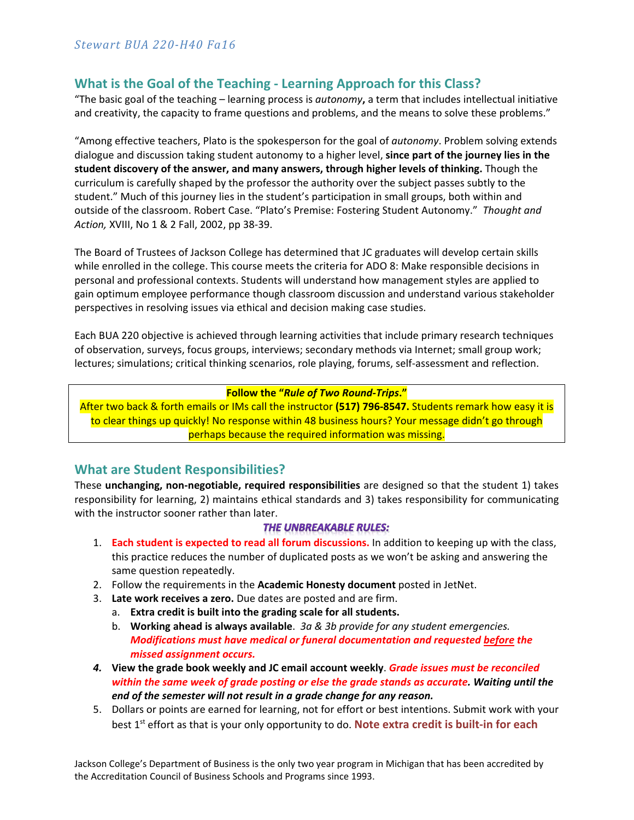# **What is the Goal of the Teaching ‐ Learning Approach for this Class?**

"The basic goal of the teaching – learning process is *autonomy***,** a term that includes intellectual initiative and creativity, the capacity to frame questions and problems, and the means to solve these problems."

"Among effective teachers, Plato is the spokesperson for the goal of *autonomy*. Problem solving extends dialogue and discussion taking student autonomy to a higher level, **since part of the journey lies in the student discovery of the answer, and many answers, through higher levels of thinking.** Though the curriculum is carefully shaped by the professor the authority over the subject passes subtly to the student." Much of this journey lies in the student's participation in small groups, both within and outside of the classroom. Robert Case. "Plato's Premise: Fostering Student Autonomy." *Thought and Action,* XVIII, No 1 & 2 Fall, 2002, pp 38‐39.

The Board of Trustees of Jackson College has determined that JC graduates will develop certain skills while enrolled in the college. This course meets the criteria for ADO 8: Make responsible decisions in personal and professional contexts. Students will understand how management styles are applied to gain optimum employee performance though classroom discussion and understand various stakeholder perspectives in resolving issues via ethical and decision making case studies.

Each BUA 220 objective is achieved through learning activities that include primary research techniques of observation, surveys, focus groups, interviews; secondary methods via Internet; small group work; lectures; simulations; critical thinking scenarios, role playing, forums, self‐assessment and reflection.

#### **Follow the "***Rule of Two Round‐Trips***."**

After two back & forth emails or IMs call the instructor **(517) 796‐8547.** Students remark how easy it is to clear things up quickly! No response within 48 business hours? Your message didn't go through perhaps because the required information was missing.

## **What are Student Responsibilities?**

These **unchanging, non‐negotiable, required responsibilities** are designed so that the student 1) takes responsibility for learning, 2) maintains ethical standards and 3) takes responsibility for communicating with the instructor sooner rather than later.

#### **THE UNBREAKABLE RULES:**

- 1. **Each student is expected to read all forum discussions.** In addition to keeping up with the class, this practice reduces the number of duplicated posts as we won't be asking and answering the same question repeatedly.
- 2. Follow the requirements in the **Academic Honesty document** posted in JetNet.
- 3. **Late work receives a zero.** Due dates are posted and are firm.
	- a. **Extra credit is built into the grading scale for all students.**
	- b. **Working ahead is always available**.  *3a & 3b provide for any student emergencies. Modifications must have medical or funeral documentation and requested before the missed assignment occurs.*
- *4.* **View the grade book weekly and JC email account weekly**. *Grade issues must be reconciled within the same week of grade posting or else the grade stands as accurate. Waiting until the end of the semester will not result in a grade change for any reason.*
- 5. Dollars or points are earned for learning, not for effort or best intentions. Submit work with your best 1<sup>st</sup> effort as that is your only opportunity to do. **Note extra credit is built-in for each**

Jackson College's Department of Business is the only two year program in Michigan that has been accredited by the Accreditation Council of Business Schools and Programs since 1993.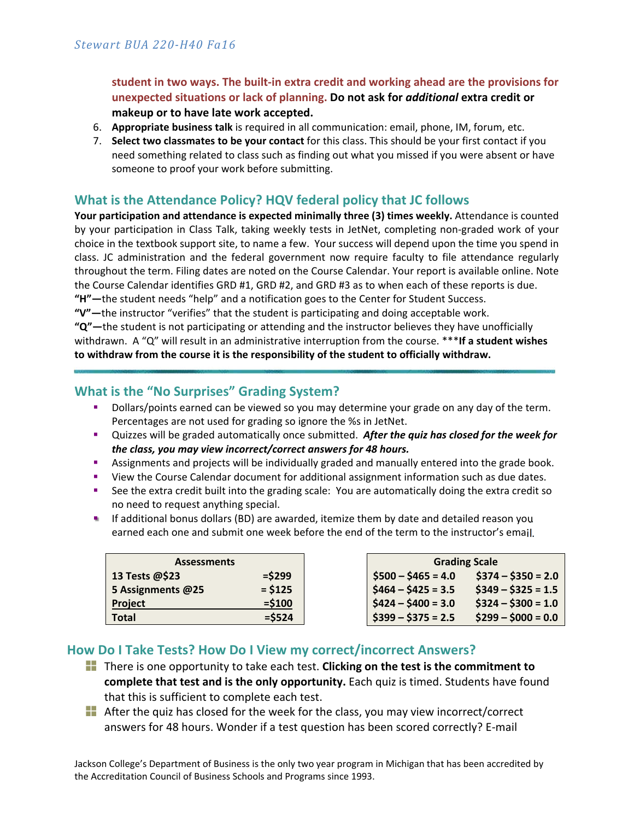**student in two ways. The built‐in extra credit and working ahead are the provisions for unexpected situations or lack of planning. Do not ask for** *additional* **extra credit or makeup or to have late work accepted.**

- 6. **Appropriate business talk** is required in all communication: email, phone, IM, forum, etc.
- 7. **Select two classmates to be your contact** for this class. This should be your first contact if you need something related to class such as finding out what you missed if you were absent or have someone to proof your work before submitting.

# **What is the Attendance Policy? HQV federal policy that JC follows**

**Your participation and attendance is expected minimally three (3) times weekly.** Attendance is counted by your participation in Class Talk, taking weekly tests in JetNet, completing non‐graded work of your choice in the textbook support site, to name a few. Your success will depend upon the time you spend in class. JC administration and the federal government now require faculty to file attendance regularly throughout the term. Filing dates are noted on the Course Calendar. Your report is available online. Note the Course Calendar identifies GRD #1, GRD #2, and GRD #3 as to when each of these reports is due. **"H"—**the student needs "help" and a notification goes to the Center for Student Success.

**"V"—**the instructor "verifies" that the student is participating and doing acceptable work.

**"Q"—**the student is not participating or attending and the instructor believes they have unofficially withdrawn.A "Q" will result in an administrative interruption from the course. \*\*\***If a student wishes to withdraw from the course it is the responsibility of the student to officially withdraw.**

# **What is the "No Surprises" Grading System?**

- Dollars/points earned can be viewed so you may determine your grade on any day of the term. Percentages are not used for grading so ignore the %s in JetNet.
- Quizzes will be graded automatically once submitted. *After the quiz has closed for the week for the class, you may view incorrect/correct answers for 48 hours.*
- Assignments and projects will be individually graded and manually entered into the grade book.
- View the Course Calendar document for additional assignment information such as due dates.
- See the extra credit built into the grading scale: You are automatically doing the extra credit so no need to request anything special.
- **If additional bonus dollars (BD) are awarded, itemize them by date and detailed reason you** earned each one and submit one week before the end of the term to the instructor's email.

| <b>Assessments</b> |           |  |
|--------------------|-----------|--|
| 13 Tests @\$23     | $=$ \$299 |  |
| 5 Assignments @25  | $= $125$  |  |
| Project            | $= $100$  |  |
| Total              | $=$ \$524 |  |

| <b>Grading Scale</b> |                     |  |
|----------------------|---------------------|--|
| $$500 - $465 = 4.0$  | $$374 - $350 = 2.0$ |  |
| $$464 - $425 = 3.5$  | $$349 - $325 = 1.5$ |  |
| $$424 - $400 = 3.0$  | $$324 - $300 = 1.0$ |  |
| $$399 - $375 = 2.5$  | $$299 - $000 = 0.0$ |  |

# **How Do I Take Tests? How Do I View my correct/incorrect Answers?**

- There is one opportunity to take each test. **Clicking on the test is the commitment to complete that test and is the only opportunity.** Each quiz is timed. Students have found that this is sufficient to complete each test.
- **T** After the quiz has closed for the week for the class, you may view incorrect/correct answers for 48 hours. Wonder if a test question has been scored correctly? E‐mail

Jackson College's Department of Business is the only two year program in Michigan that has been accredited by the Accreditation Council of Business Schools and Programs since 1993.